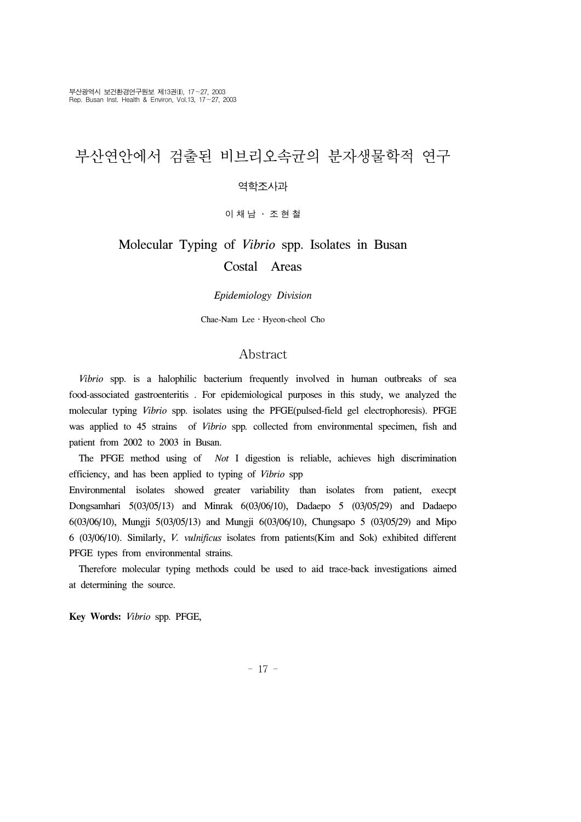# 부산연안에서 검출된 비브리오속균의 분자생물학적 연구

#### 역학조사과

이채남 ․ 조현철

# Molecular Typing of *Vibrio* spp. Isolates in Busan Costal Areas

#### *Epidemiology Division*

Chae-Nam Lee․Hyeon-cheol Cho

#### Abstract

 *Vibrio* spp. is a halophilic bacterium frequently involved in human outbreaks of sea food-associated gastroenteritis . For epidemiological purposes in this study, we analyzed the molecular typing *Vibrio* spp. isolates using the PFGE(pulsed-field gel electrophoresis). PFGE was applied to 45 strains of *Vibrio* spp*.* collected from environmental specimen, fish and patient from 2002 to 2003 in Busan.

 The PFGE method using of *Not* I digestion is reliable, achieves high discrimination efficiency, and has been applied to typing of *Vibrio* spp

Environmental isolates showed greater variability than isolates from patient, execpt Dongsamhari 5(03/05/13) and Minrak 6(03/06/10), Dadaepo 5 (03/05/29) and Dadaepo 6(03/06/10), Mungji 5(03/05/13) and Mungji 6(03/06/10), Chungsapo 5 (03/05/29) and Mipo 6 (03/06/10). Similarly, *V. vulnificus* isolates from patients(Kim and Sok) exhibited different PFGE types from environmental strains.

 Therefore molecular typing methods could be used to aid trace-back investigations aimed at determining the source.

**Key Words:** *Vibrio* spp. PFGE,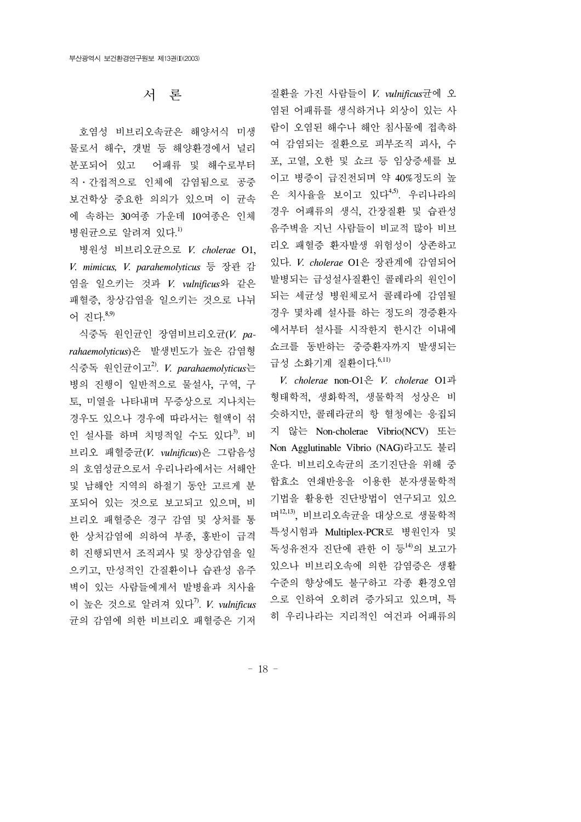### 서 론

호염성 비브리오속균은 해양서식 미생 물로서 해수, 갯벌 등 해양환경에서 널리 분포되어 있고 어패류 및 해수로부터 직․간접적으로 인체에 감염됨으로 공중 보건학상 중요한 의의가 있으며 이 균속 에 속하는 30여종 가운데 10여종은 인체 병원균으로 알려져 있다. 1)

 병원성 비브리오균으로 *V. cholerae* O1, *V. mimicus, V. parahemolyticus* 등 장관 감 염을 일으키는 것과 *V. vulnificus*와 같은 패혈증, 창상감염을 일으키는 것으로 나뉘 어 진다. 8,9)

 식중독 원인균인 장염비브리오균(*V. parahaemolyticus*)은 발생빈도가 높은 감염형 식중독 원인균이고2). *V. parahaemolyticus*는 병의 진행이 일반적으로 물설사, 구역, 구 토, 미열을 나타내며 무증상으로 지나치는 경우도 있으나 경우에 따라서는 혈액이 섞 인 설사를 하며 치명적일 수도 있다<sup>3</sup>. 비 브리오 패혈증균(*V. vulnificus*)은 그람음성 의 호염성균으로서 우리나라에서는 서해안 및 남해안 지역의 하절기 동안 고르게 분 포되어 있는 것으로 보고되고 있으며, 비 브리오 패혈증은 경구 감염 및 상처를 통 한 상처감염에 의하여 부종, 홍반이 급격 히 진행되면서 조직괴사 및 창상감염을 일 으키고, 만성적인 간질환이나 습관성 음주 벽이 있는 사람들에게서 발병율과 치사율 이 높은 것으로 알려져 있다7). *V. vulnificus* 균의 감염에 의한 비브리오 패혈증은 기저 질환을 가진 사람들이 *V. vulnificus*균에 오 염된 어패류를 생식하거나 외상이 있는 사 람이 오염된 해수나 해안 침사물에 접촉하 여 감염되는 질환으로 피부조직 괴사, 수 포, 고열, 오한 및 쇼크 등 임상증세를 보 이고 병증이 급진전되며 약 40%정도의 높 은 치사율을 보이고 있다4,5). 우리나라의 경우 어패류의 생식, 간장질환 및 습관성 음주벽을 지닌 사람들이 비교적 많아 비브 리오 패혈증 환자발생 위험성이 상존하고 있다. *V. cholerae* O1은 장관계에 감염되어 발병되는 급성설사질환인 콜레라의 원인이 되는 세균성 병원체로서 콜레라에 감염될 경우 몇차례 설사를 하는 정도의 경증환자 에서부터 설사를 시작한지 한시간 이내에 쇼크를 동반하는 중증환자까지 발생되는 급성 소화기계 질환이다. 6,11)

 *V. cholerae* non-O1은 *V. cholerae* O1과 형태학적, 생화학적, 생물학적 성상은 비 슷하지만, 콜레라균의 항 혈청에는 응집되 지 않는 Non-cholerae Vibrio(NCV) 또는 Non Agglutinable Vibrio (NAG)라고도 불리 운다. 비브리오속균의 조기진단을 위해 중 합효소 연쇄반응을 이용한 분자생물학적 기법을 활용한 진단방법이 연구되고 있으 며12,13), 비브리오속균을 대상으로 생물학적 특성시험과 Multiplex-PCR로 병원인자 및 독성유전자 진단에 관한 이 등<sup>14)</sup>의 보고가 있으나 비브리오속에 의한 감염증은 생활 수준의 향상에도 불구하고 각종 환경오염 으로 인하여 오히려 증가되고 있으며, 특 히 우리나라는 지리적인 여건과 어패류의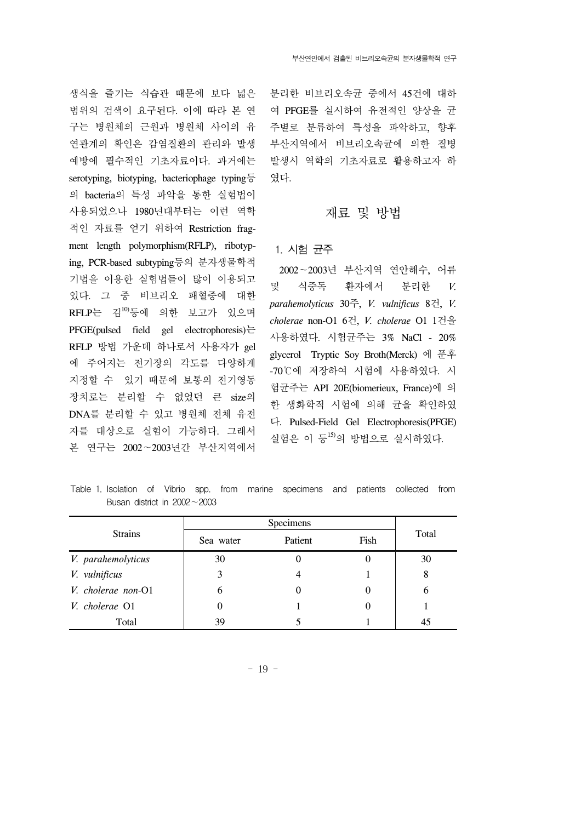생식을 즐기는 식습관 때문에 보다 넓은 범위의 검색이 요구된다. 이에 따라 본 연 구는 병원체의 근원과 병원체 사이의 유 연관계의 확인은 감염질환의 관리와 발생 예방에 필수적인 기초자료이다. 과거에는 serotyping, biotyping, bacteriophage typing $\frac{5}{6}$ 의 bacteria의 특성 파악을 통한 실험법이 사용되었으나 1980년대부터는 이런 역학 적인 자료를 얻기 위하여 Restriction fragment length polymorphism(RFLP), ribotyping, PCR-based subtyping등의 분자생물학적 기법을 이용한 실험법들이 많이 이용되고 있다. 그 중 비브리오 패혈증에 대한  $RFLP$ 는 김 $10$ )등에 의한 보고가 있으며 PFGE(pulsed field gel electrophoresis)는 RFLP 방법 가운데 하나로서 사용자가 gel 에 주어지는 전기장의 각도를 다양하게 지정할 수 있기 때문에 보통의 전기영동 장치로는 분리할 수 없었던 큰 size의 DNA를 분리할 수 있고 병원체 전체 유전 자를 대상으로 실험이 가능하다. 그래서 본 연구는 2002∼2003년간 부산지역에서 분리한 비브리오속균 중에서 45건에 대하 여 PFGE를 실시하여 유전적인 양상을 균 주별로 분류하여 특성을 파악하고, 향후 부산지역에서 비브리오속균에 의한 질병 발생시 역학의 기초자료로 활용하고자 하 였다.

#### 재료 및 방법

#### 1. 시험 균주

 2002∼2003년 부산지역 연안해수, 어류 및 식중독 환자에서 분리한 *V. parahemolyticus* 30주, *V. vulnificus* 8건, *V. cholerae* non-O1 6건, *V. cholerae* O1 1건을 사용하였다. 시험균주는 3% NaCl - 20% glycerol Tryptic Soy Broth(Merck) 에 푼후 -70℃에 저장하여 시험에 사용하였다. 시 험균주는 API 20E(biomerieux, France)에 의 한 생화학적 시험에 의해 균을 확인하였 다. Pulsed-Field Gel Electrophoresis(PFGE) 실험은 이 등15)의 방법으로 실시하였다.

Table 1. Isolation of Vibrio spp. from marine specimens and patients collected from Busan district in 2002∼2003

| <b>Strains</b>     | Specimens |         |          |       |
|--------------------|-----------|---------|----------|-------|
|                    | Sea water | Patient | Fish     | Total |
| V. parahemolyticus | 30        | 0       | O        | 30    |
| V. vulnificus      | 3         |         |          | 8     |
| V. cholerae non-O1 | 6         | 0       | $\theta$ | 6     |
| V. cholerae O1     |           |         | $\theta$ |       |
| Total              | 39        |         |          | 45    |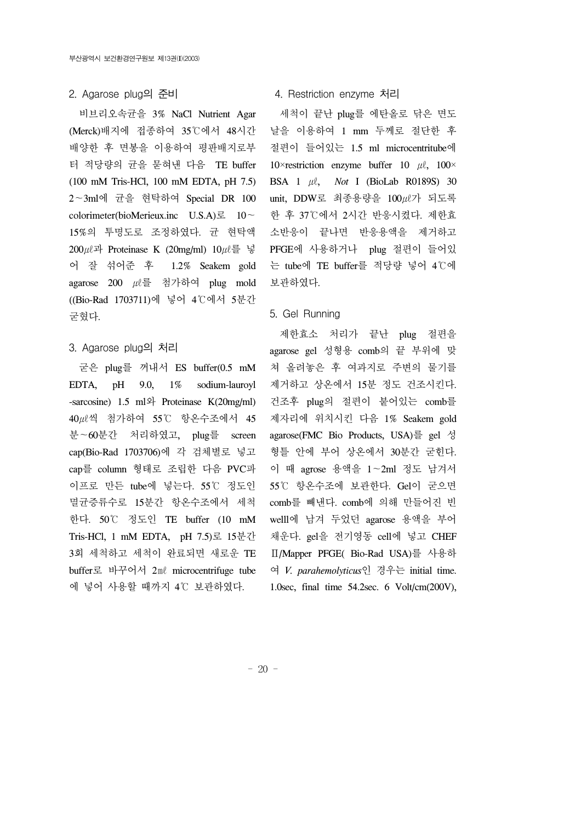#### 2. Agarose plug의 준비

 비브리오속균을 3% NaCl Nutrient Agar (Merck)배지에 접종하여 35℃에서 48시간 배양한 후 면봉을 이용하여 평판배지로부 터 적당량의 균을 묻혀낸 다음 TE buffer (100 mM Tris-HCl, 100 mM EDTA, pH 7.5) 2∼3ml에 균을 현탁하여 Special DR 100 colorimeter(bioMerieux.inc U.S.A)로 10∼ 15%의 투명도로 조정하였다. 균 현탁액 200 $\mu$ 과 Proteinase K (20mg/ml) 10 $\mu$ 를 넣 어 잘 섞어준 후 1.2% Seakem gold agarose 200 ㎕를 첨가하여 plug mold ((Bio-Rad 1703711)에 넣어 4℃에서 5분간 굳혔다.

#### 3. Agarose plug의 처리

 굳은 plug를 꺼내서 ES buffer(0.5 mM EDTA, pH 9.0, 1% sodium-lauroyl -sarcosine) 1.5 ml와 Proteinase K(20mg/ml) 40㎕씩 첨가하여 55℃ 항온수조에서 45 분∼60분간 처리하였고, plug를 screen cap(Bio-Rad 1703706)에 각 검체별로 넣고 cap를 column 형태로 조립한 다음 PVC파 이프로 만든 tube에 넣는다. 55℃ 정도인 멸균증류수로 15분간 항온수조에서 세척 한다. 50℃ 정도인 TE buffer (10 mM Tris-HCl, 1 mM EDTA, pH 7.5)로 15분간 3회 세척하고 세척이 완료되면 새로운 TE buffer로 바꾸어서 2㎖ microcentrifuge tube 에 넣어 사용할 때까지 4℃ 보관하였다.

#### 4. Restriction enzyme 처리

 세척이 끝난 plug를 에탄올로 닦은 면도 날을 이용하여 1 mm 두께로 절단한 후 절편이 들어있는 1.5 ml microcentritube에 10×restriction enzyme buffer 10  $\mu$ , 100× BSA 1 ㎕, *Not* I (BioLab R0189S) 30 unit, DDW로 최종용량을 100㎕가 되도록 한 후 37℃에서 2시간 반응시켰다. 제한효 소반응이 끝나면 반응용액을 제거하고 PFGE에 사용하거나 plug 절편이 들어있 는 tube에 TE buffer를 적당량 넣어 4℃에 보관하였다.

#### 5. Gel Running

 제한효소 처리가 끝난 plug 절편을 agarose gel 성형용 comb의 끝 부위에 맞 쳐 올려놓은 후 여과지로 주변의 물기를 제거하고 상온에서 15분 정도 건조시킨다. 건조후 plug의 절편이 붙어있는 comb를 제자리에 위치시킨 다음 1% Seakem gold agarose(FMC Bio Products, USA)를 gel 성 형틀 안에 부어 상온에서 30분간 굳힌다. 이 때 agrose 용액을 1∼2ml 정도 남겨서 55℃ 항온수조에 보관한다. Gel이 굳으면 comb를 빼낸다. comb에 의해 만들어진 빈 welll에 남겨 두었던 agarose 용액을 부어 채운다. gel을 전기영동 cell에 넣고 CHEF Ⅱ/Mapper PFGE( Bio-Rad USA)를 사용하 여 *V. parahemolyticus*인 경우는 initial time. 1.0sec, final time 54.2sec. 6 Volt/cm(200V),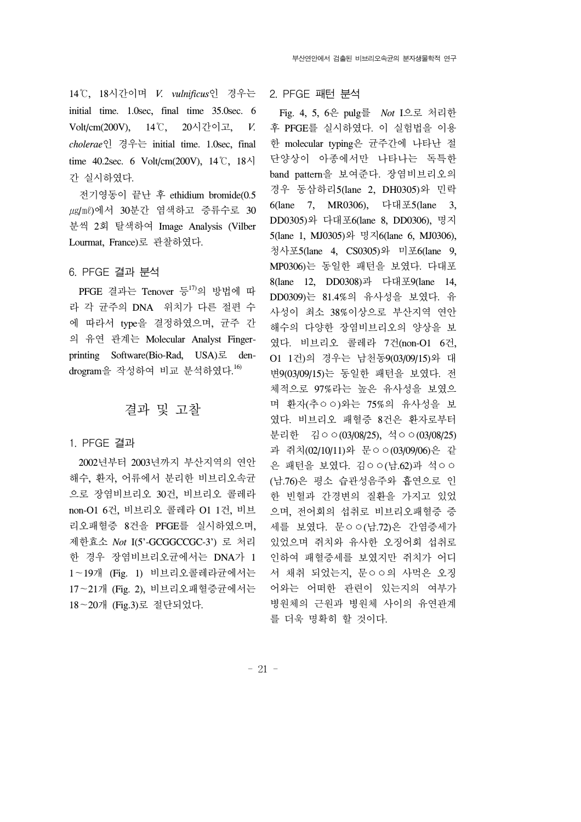14℃, 18시간이며 *V. vulnificus*인 경우는 initial time. 1.0sec, final time 35.0sec. 6 Volt/cm(200V), 14℃, 20시간이고, *V. cholerae*인 경우는 initial time. 1.0sec, final time 40.2sec. 6 Volt/cm(200V),  $14\degree$ C,  $18\degree$ 간 실시하였다.

 전기영동이 끝난 후 ethidium bromide(0.5 ug/ml)에서 30분간 염색하고 증류수로 30 분씩 2회 탈색하여 Image Analysis (Vilber Lourmat, France)로 관찰하였다.

#### 6. PFGE 결과 분석

PFGE 결과는 Tenover 등 $^{17}$ 의 방법에 따 라 각 균주의 DNA 위치가 다른 절편 수 에 따라서 type을 결정하였으며, 균주 간 의 유연 관계는 Molecular Analyst Fingerprinting Software(Bio-Rad, USA)로 dendrogram을 작성하여 비교 분석하였다. 16)

#### 결과 및 고찰

1. PFGE 결과

 2002년부터 2003년까지 부산지역의 연안 해수, 환자, 어류에서 분리한 비브리오속균 으로 장염비브리오 30건, 비브리오 콜레라 non-O1 6건, 비브리오 콜레라 O1 1건, 비브 리오패혈증 8건을 PFGE를 실시하였으며, 제한효소 *Not* I(5'-GCGGCCGC-3') 로 처리 한 경우 장염비브리오균에서는 DNA가 1 1∼19개 (Fig. 1) 비브리오콜레라균에서는 17∼21개 (Fig. 2), 비브리오패혈증균에서는 18∼20개 (Fig.3)로 절단되었다.

2. PFGE 패턴 분석

 Fig. 4, 5, 6은 pulg를 *Not* I으로 처리한 후 PFGE를 실시하였다. 이 실험법을 이용 한 molecular typing은 균주간에 나타난 절 단양상이 아종에서만 나타나는 독특한 band pattern을 보여준다. 장염비브리오의 경우 동삼하리5(lane 2, DH0305)와 민락 6(lane 7, MR0306), 다대포5(lane 3, DD0305)와 다대포6(lane 8, DD0306), 명지 5(lane 1, MJ0305)와 명지6(lane 6, MJ0306), 청사포5(lane 4, CS0305)와 미포6(lane 9, MP0306)는 동일한 패턴을 보였다. 다대포 8(lane 12, DD0308)과 다대포9(lane 14, DD0309)는 81.4%의 유사성을 보였다. 유 사성이 최소 38%이상으로 부산지역 연안 해수의 다양한 장염비브리오의 양상을 보 였다. 비브리오 콜레라 7건(non-O1 6건, O1 1건)의 경우는 남천동9(03/09/15)와 대 변9(03/09/15)는 동일한 패턴을 보였다. 전 체적으로 97%라는 높은 유사성을 보였으 며 환자(추ㅇㅇ)와는 75%의 유사성을 보 였다. 비브리오 패혈증 8건은 환자로부터 분리한 김ㅇㅇ(03/08/25), 석ㅇㅇ(03/08/25) 과 쥐치(02/10/11)와 문ㅇㅇ(03/09/06)은 같 은 패턴을 보였다. 김ㅇㅇ(남.62)과 석ㅇㅇ (남.76)은 평소 습관성음주와 흡연으로 인 한 빈혈과 간경변의 질환을 가지고 있었 으며, 전어회의 섭취로 비브리오패혈증 증 세를 보였다. 문ㅇㅇ(남.72)은 간염증세가 있었으며 쥐치와 유사한 오징어회 섭취로 인하여 패혈증세를 보였지만 쥐치가 어디 서 채취 되었는지, 문ㅇㅇ의 사먹은 오징 어와는 어떠한 관련이 있는지의 여부가 병원체의 근원과 병원체 사이의 유연관계 를 더욱 명확히 할 것이다.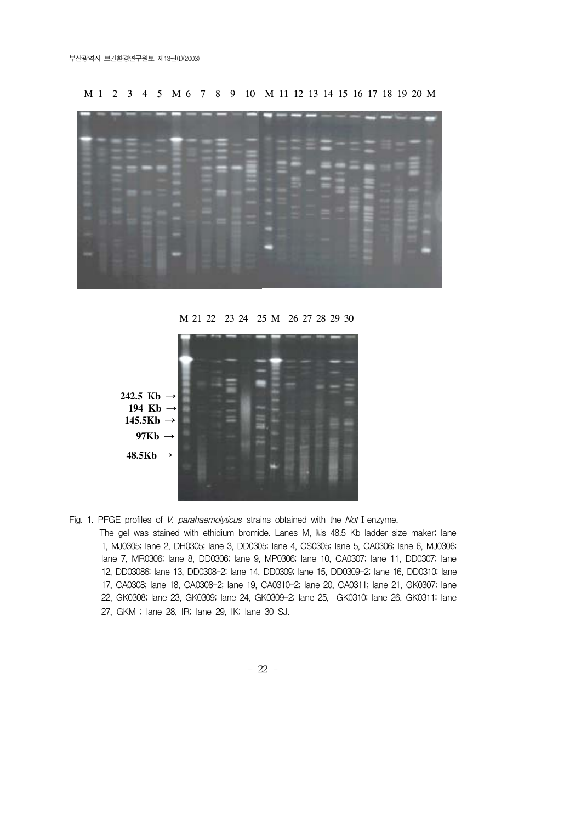M 1 2 3 4 5 M 6 7 8 9 10 M 11 12 13 14 15 16 17 18 19 20 M



M 21 22 23 24 25 M 26 27 28 29 30



Fig. 1. PFGE profiles of V. parahaemolyticus strains obtained with the Not I enzyme.

The gel was stained with ethidium bromide. Lanes M, lis 48.5 Kb ladder size maker; lane 1, MJ0305; lane 2, DH0305; lane 3, DD0305; lane 4, CS0305; lane 5, CA0306; lane 6, MJ0306; lane 7, MR0306; lane 8, DD0306; lane 9, MP0306; lane 10, CA0307; lane 11, DD0307; lane 12, DD03086; lane 13, DD0308-2; lane 14, DD0309; lane 15, DD0309-2; lane 16, DD0310; lane 17, CA0308; lane 18, CA0308-2; lane 19, CA0310-2; lane 20, CA0311; lane 21, GK0307; lane 22, GK0308; lane 23, GK0309; lane 24, GK0309-2; lane 25, GK0310; lane 26, GK0311; lane 27, GKM ; lane 28, IR; lane 29, IK; lane 30 SJ.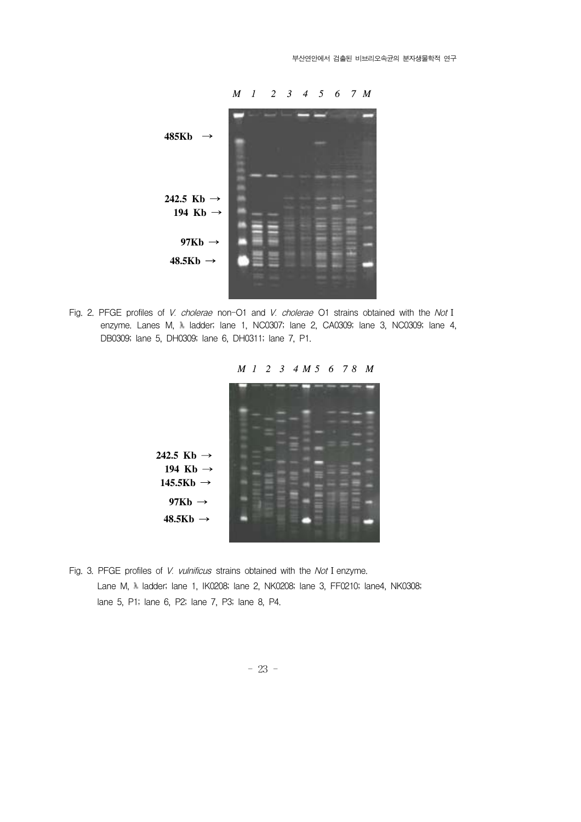

Fig. 2. PFGE profiles of V. cholerae non-O1 and V. cholerae O1 strains obtained with the Not I enzyme. Lanes M, M ladder; lane 1, NC0307; lane 2, CA0309; lane 3, NC0309; lane 4, DB0309; lane 5, DH0309; lane 6, DH0311; lane 7, P1.

 *M 1 2 3 4 M 5 6 7 8 M*



Fig. 3. PFGE profiles of V. vulnificus strains obtained with the Not I enzyme. Lane M, 1 ladder; lane 1, IK0208; lane 2, NK0208; lane 3, FF0210; lane4, NK0308; lane 5, P1; lane 6, P2; lane 7, P3; lane 8, P4.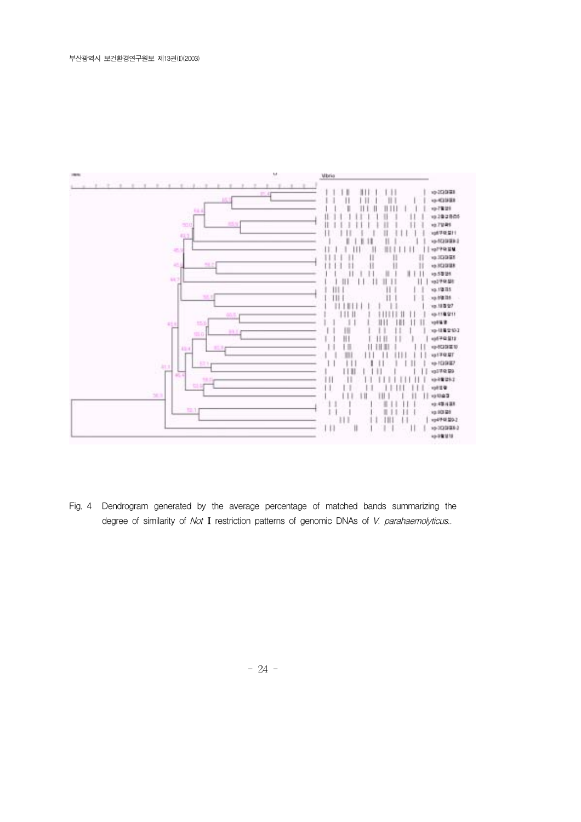

Fig. 4 Dendrogram generated by the average percentage of matched bands summarizing the degree of similarity of Not I restriction patterns of genomic DNAs of V. parahaemolyticus..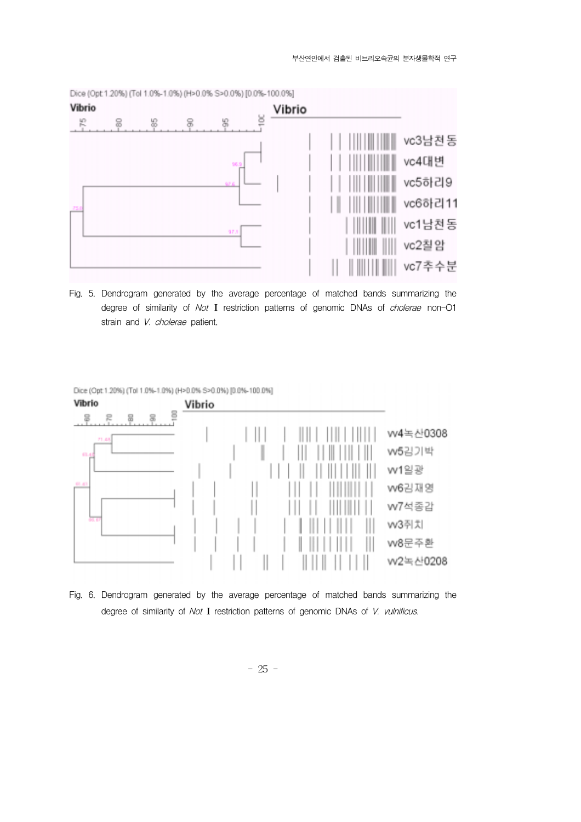

Fig. 5. Dendrogram generated by the average percentage of matched bands summarizing the degree of similarity of Not I restriction patterns of genomic DNAs of *cholerae* non-O1 strain and V. cholerae patient.

Dice (Opt 1.20%) (Tol 1.0%-1.0%) (H>0.0% S>0.0%) [0.0%-100.0%]



Fig. 6. Dendrogram generated by the average percentage of matched bands summarizing the degree of similarity of Not I restriction patterns of genomic DNAs of V. vulnificus.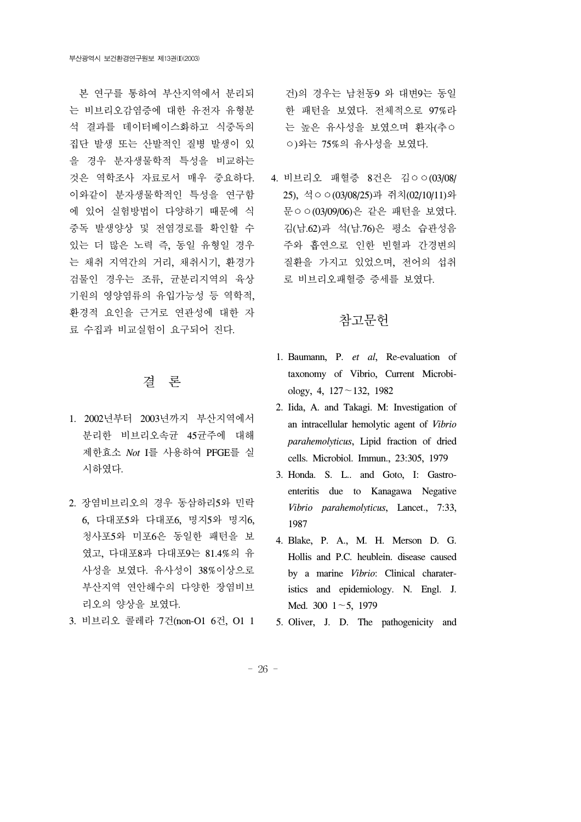본 연구를 통하여 부산지역에서 분리되 는 비브리오감염증에 대한 유전자 유형분 석 결과를 데이터베이스화하고 식중독의 집단 발생 또는 산발적인 질병 발생이 있 을 경우 분자생물학적 특성을 비교하는 것은 역학조사 자료로서 매우 중요하다. 이와같이 분자생물학적인 특성을 연구함 에 있어 실험방법이 다양하기 때문에 식 중독 발생양상 및 전염경로를 확인할 수 있는 더 많은 노력 즉, 동일 유형일 경우 는 채취 지역간의 거리, 채취시기, 환경가 검물인 경우는 조류, 균분리지역의 육상 기원의 영양염류의 유입가능성 등 역학적, 환경적 요인을 근거로 연관성에 대한 자 료 수집과 비교실험이 요구되어 진다.

## 결 론

- 1. 2002년부터 2003년까지 부산지역에서 분리한 비브리오속균 45균주에 대해 제한효소 *Not* I를 사용하여 PFGE를 실 시하였다.
- 2. 장염비브리오의 경우 동삼하리5와 민락 6, 다대포5와 다대포6, 명지5와 명지6, 청사포5와 미포6은 동일한 패턴을 보 였고, 다대포8과 다대포9는 81.4%의 유 사성을 보였다. 유사성이 38%이상으로 부산지역 연안해수의 다양한 장염비브 리오의 양상을 보였다.
- 3. 비브리오 콜레라 7건(non-O1 6건, O1 1

건)의 경우는 남천동9 와 대변9는 동일 한 패턴을 보였다. 전체적으로 97%라 는 높은 유사성을 보였으며 환자(추ㅇ ㅇ)와는 75%의 유사성을 보였다.

4. 비브리오 패혈증 8건은 김ㅇㅇ(03/08/ 25), 석ㅇㅇ(03/08/25)과 쥐치(02/10/11)와 문ㅇㅇ(03/09/06)은 같은 패턴을 보였다. 김(남.62)과 석(남.76)은 평소 습관성음 주와 흡연으로 인한 빈혈과 간경변의 질환을 가지고 있었으며, 전어의 섭취 로 비브리오패혈증 증세를 보였다.

# 참고문헌

- 1. Baumann, P. *et al*, Re-evaluation of taxonomy of Vibrio, Current Microbiology, 4, 127∼132, 1982
- 2. Iida, A. and Takagi. M: Investigation of an intracellular hemolytic agent of *Vibrio parahemolyticus*, Lipid fraction of dried cells. Microbiol. Immun., 23:305, 1979
- 3. Honda. S. L.. and Goto, I: Gastroenteritis due to Kanagawa Negative *Vibrio parahemolyticus*, Lancet., 7:33, 1987
- 4. Blake, P. A., M. H. Merson D. G. Hollis and P.C. heublein. disease caused by a marine *Vibrio*: Clinical charateristics and epidemiology. N. Engl. J. Med. 300 1∼5, 1979
- 5. Oliver, J. D. The pathogenicity and